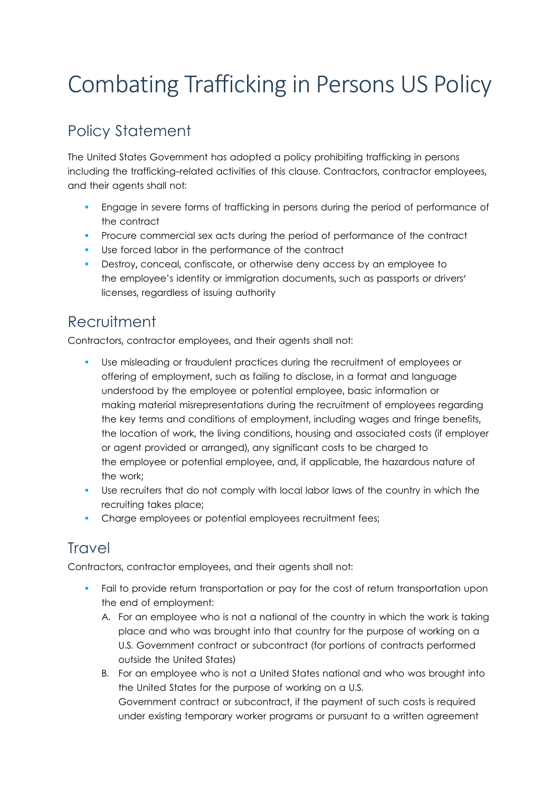# Combating Trafficking in Persons US Policy

# Policy Statement

The United States Government has adopted a policy prohibiting trafficking in persons including the trafficking-related activities of this clause. Contractors, contractor employees, and their agents shall not:

- Engage in severe forms of trafficking in persons during the period of performance of the contract
- **PROCUTE COMMERCIAL SEX ACTS during the period of performance of the contract**
- Use forced labor in the performance of the contract
- Destroy, conceal, confiscate, or otherwise deny access by an employee to the employee's identity or immigration documents, such as passports or drivers' licenses, regardless of issuing authority

### **Recruitment**

Contractors, contractor employees, and their agents shall not:

- Use misleading or fraudulent practices during the recruitment of employees or offering of employment, such as failing to disclose, in a format and language understood by the employee or potential employee, basic information or making material misrepresentations during the recruitment of employees regarding the key terms and conditions of employment, including wages and fringe benefits, the location of work, the living conditions, housing and associated costs (if employer or agent provided or arranged), any significant costs to be charged to the employee or potential employee, and, if applicable, the hazardous nature of the work;
- Use recruiters that do not comply with local labor laws of the country in which the recruiting takes place;
- **Charge employees or potential employees recruitment fees;**

# **Travel**

Contractors, contractor employees, and their agents shall not:

- Fail to provide return transportation or pay for the cost of return transportation upon the end of employment:
	- A. For an employee who is not a national of the country in which the work is taking place and who was brought into that country for the purpose of working on a U.S. Government contract or subcontract (for portions of contracts performed outside the United States)
	- B. For an employee who is not a United States national and who was brought into the United States for the purpose of working on a U.S. Government contract or subcontract, if the payment of such costs is required under existing temporary worker programs or pursuant to a written agreement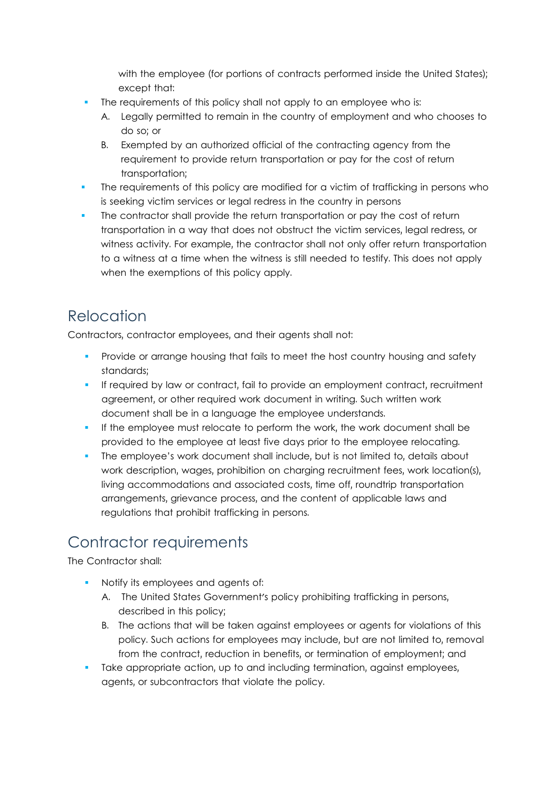with the employee (for portions of contracts performed inside the United States); except that:

- The requirements of this policy shall not apply to an employee who is:
	- A. Legally permitted to remain in the country of employment and who chooses to do so; or
	- B. Exempted by an authorized official of the contracting agency from the requirement to provide return transportation or pay for the cost of return transportation;
- The requirements of this policy are modified for a victim of trafficking in persons who is seeking victim services or legal redress in the country in persons
- The contractor shall provide the return transportation or pay the cost of return transportation in a way that does not obstruct the victim services, legal redress, or witness activity. For example, the contractor shall not only offer return transportation to a witness at a time when the witness is still needed to testify. This does not apply when the exemptions of this policy apply.

# Relocation

Contractors, contractor employees, and their agents shall not:

- Provide or arrange housing that fails to meet the host country housing and safety standards;
- **If required by law or contract, fail to provide an employment contract, recruitment** agreement, or other required work document in writing. Such written work document shall be in a language the employee understands.
- If the employee must relocate to perform the work, the work document shall be provided to the employee at least five days prior to the employee relocating.
- The employee's work document shall include, but is not limited to, details about work description, wages, prohibition on charging recruitment fees, work location(s), living accommodations and associated costs, time off, roundtrip transportation arrangements, grievance process, and the content of applicable laws and regulations that prohibit trafficking in persons.

# Contractor requirements

The Contractor shall:

- Notify its employees and agents of:
	- A. The United States Government's policy prohibiting trafficking in persons, described in this policy;
	- B. The actions that will be taken against employees or agents for violations of this policy. Such actions for employees may include, but are not limited to, removal from the contract, reduction in benefits, or termination of employment; and
- Take appropriate action, up to and including termination, against employees, agents, or subcontractors that violate the policy.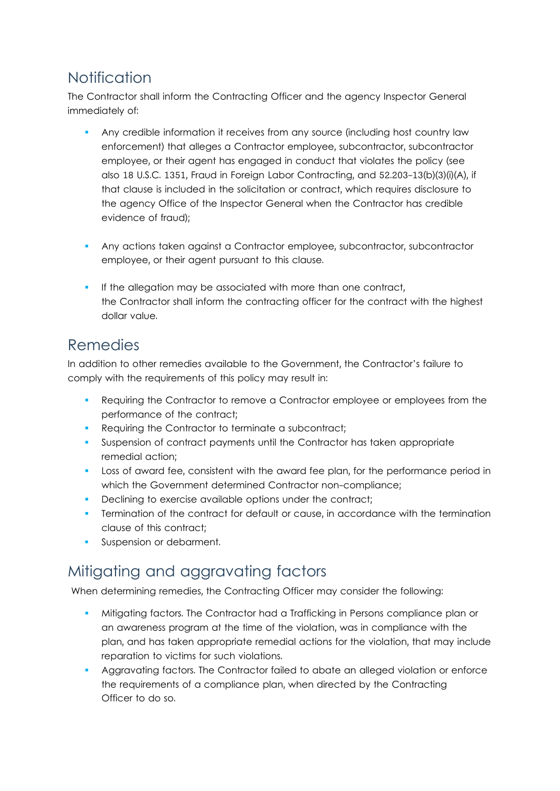## Notification

The Contractor shall inform the Contracting Officer and the agency Inspector General immediately of:

- Any credible information it receives from any source (including host country law enforcement) that alleges a Contractor employee, subcontractor, subcontractor employee, or their agent has engaged in conduct that violates the policy (see also [18 U.S.C. 1351,](http://uscode.house.gov/browse.xhtml;jsessionid=114A3287C7B3359E597506A31FC855B3) Fraud in Foreign Labor Contracting, and [52.203-13\(](https://www.acquisition.gov/far/52.203-13#FAR_52_203_13)b)(3)(i)(A), if that clause is included in the solicitation or contract, which requires disclosure to the agency Office of the Inspector General when the Contractor has credible evidence of fraud);
- Any actions taken against a Contractor employee, subcontractor, subcontractor employee, or their agent pursuant to this clause.
- If the allegation may be associated with more than one contract, the Contractor shall inform the contracting officer for the contract with the highest dollar value.

#### Remedies

In addition to other remedies available to the Government, the Contractor's failure to comply with the requirements of this policy may result in:

- Requiring the Contractor to remove a Contractor employee or employees from the performance of the contract;
- Requiring the Contractor to terminate a subcontract;
- Suspension of contract payments until the Contractor has taken appropriate remedial action;
- **Loss of award fee, consistent with the award fee plan, for the performance period in** which the Government determined Contractor non-compliance;
- Declining to exercise available options under the contract;
- Termination of the contract for default or cause, in accordance with the termination clause of this contract;
- Suspension or debarment.

# Mitigating and aggravating factors

When determining remedies, the Contracting Officer may consider the following:

- Mitigating factors. The Contractor had a Trafficking in Persons compliance plan or an awareness program at the time of the violation, was in compliance with the plan, and has taken appropriate remedial actions for the violation, that may include reparation to victims for such violations.
- Aggravating factors. The Contractor failed to abate an alleged violation or enforce the requirements of a compliance plan, when directed by the Contracting Officer to do so.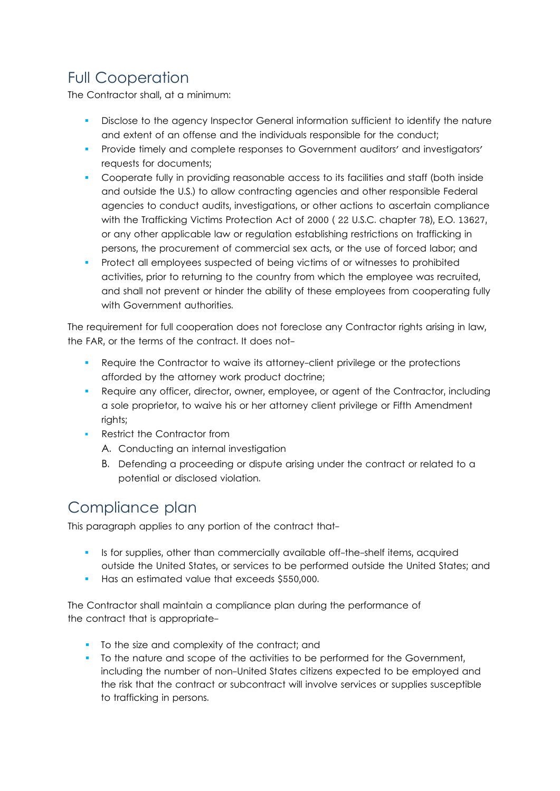# Full Cooperation

The Contractor shall, at a minimum:

- Disclose to the agency Inspector General information sufficient to identify the nature and extent of an offense and the individuals responsible for the conduct;
- **Provide timely and complete responses to Government auditors' and investigators'** requests for documents;
- **Cooperate fully in providing reasonable access to its facilities and staff (both inside** and outside the U.S.) to allow contracting agencies and other responsible Federal agencies to conduct audits, investigations, or other actions to ascertain compliance with the Trafficking Victims Protection Act of 2000 ( [22 U.S.C. chapter 78\)](http://uscode.house.gov/browse.xhtml;jsessionid=114A3287C7B3359E597506A31FC855B3), E.O. 13627, or any other applicable law or regulation establishing restrictions on trafficking in persons, the procurement of commercial sex acts, or the use of forced labor; and
- Protect all employees suspected of being victims of or witnesses to prohibited activities, prior to returning to the country from which the employee was recruited, and shall not prevent or hinder the ability of these employees from cooperating fully with Government authorities.

The requirement for full cooperation does not foreclose any Contractor rights arising in law, the FAR, or the terms of the contract. It does not-

- Require the Contractor to waive its attorney-client privilege or the protections afforded by the attorney work product doctrine;
- Require any officer, director, owner, employee, or agent of the Contractor, including a sole proprietor, to waive his or her attorney client privilege or Fifth Amendment rights;
- Restrict the Contractor from
	- A. Conducting an internal investigation
	- B. Defending a proceeding or dispute arising under the contract or related to a potential or disclosed violation.

# Compliance plan

This paragraph applies to any portion of the contract that-

- Is for supplies, other than commercially available off-the-shelf items, acquired outside the United States, or services to be performed outside the United States; and
- Has an estimated value that exceeds \$550,000.

The Contractor shall maintain a compliance plan during the performance of the contract that is appropriate-

- To the size and complexity of the contract; and
- To the nature and scope of the activities to be performed for the Government, including the number of non-United States citizens expected to be employed and the risk that the contract or subcontract will involve services or supplies susceptible to trafficking in persons.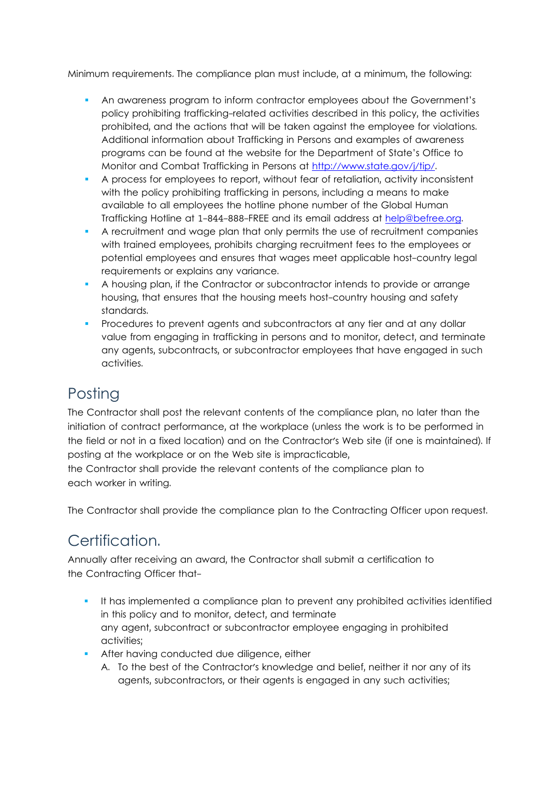Minimum requirements. The compliance plan must include, at a minimum, the following:

- An awareness program to inform contractor employees about the Government's policy prohibiting trafficking-related activities described in this policy, the activities prohibited, and the actions that will be taken against the employee for violations. Additional information about Trafficking in Persons and examples of awareness programs can be found at the website for the Department of State's Office to Monitor and Combat Trafficking in Persons at [http://www.state.gov/j/tip/.](http://www.state.gov/j/tip/)
- A process for employees to report, without fear of retaliation, activity inconsistent with the policy prohibiting trafficking in persons, including a means to make available to all employees the hotline phone number of the Global Human Trafficking Hotline at 1-844-888-FREE and its email address at [help@befree.org.](mailto:help@befree.org)
- A recruitment and wage plan that only permits the use of recruitment companies with trained employees, prohibits charging recruitment fees to the employees or potential employees and ensures that wages meet applicable host-country legal requirements or explains any variance.
- A housing plan, if the Contractor or subcontractor intends to provide or arrange housing, that ensures that the housing meets host-country housing and safety standards.
- Procedures to prevent agents and subcontractors at any tier and at any dollar value from engaging in trafficking in persons and to monitor, detect, and terminate any agents, subcontracts, or subcontractor employees that have engaged in such activities.

#### **Posting**

The Contractor shall post the relevant contents of the compliance plan, no later than the initiation of contract performance, at the workplace (unless the work is to be performed in the field or not in a fixed location) and on the Contractor's Web site (if one is maintained). If posting at the workplace or on the Web site is impracticable,

the Contractor shall provide the relevant contents of the compliance plan to each worker in writing.

The Contractor shall provide the compliance plan to the Contracting Officer upon request.

# Certification.

Annually after receiving an award, the Contractor shall submit a certification to the Contracting Officer that-

- It has implemented a compliance plan to prevent any prohibited activities identified in this policy and to monitor, detect, and terminate any agent, subcontract or subcontractor employee engaging in prohibited activities;
- **After having conducted due diligence, either** 
	- A. To the best of the Contractor's knowledge and belief, neither it nor any of its agents, subcontractors, or their agents is engaged in any such activities;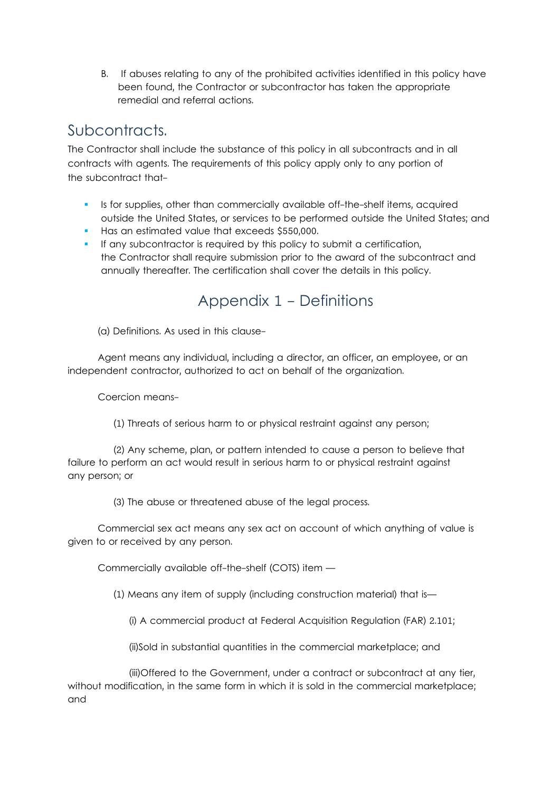B. If abuses relating to any of the prohibited activities identified in this policy have been found, the Contractor or subcontractor has taken the appropriate remedial and referral actions.

#### Subcontracts.

The Contractor shall include the substance of this policy in all subcontracts and in all contracts with agents. The requirements of this policy apply only to any portion of the subcontract that-

- Is for supplies, other than commercially available off-the-shelf items, acquired outside the United States, or services to be performed outside the United States; and
- Has an estimated value that exceeds \$550,000.
- If any subcontractor is required by this policy to submit a certification, the Contractor shall require submission prior to the award of the subcontract and annually thereafter. The certification shall cover the details in this policy.

#### Appendix 1 - Definitions

(a) Definitions. As used in this clause-

 Agent means any individual, including a director, an officer, an employee, or an independent contractor, authorized to act on behalf of the organization.

Coercion means-

(1) Threats of serious harm to or physical restraint against any person;

 (2) Any scheme, plan, or pattern intended to cause a person to believe that failure to perform an act would result in serious harm to or physical restraint against any person; or

(3) The abuse or threatened abuse of the legal process.

 Commercial sex act means any sex act on account of which anything of value is given to or received by any person.

Commercially available off-the-shelf (COTS) item —

(1) Means any item of supply (including construction material) that is—

(i) A commercial product at Federal Acquisition Regulation (FAR) [2.101;](https://www.acquisition.gov/far/2.101#FAR_2_101) 

(ii)Sold in substantial quantities in the commercial marketplace; and

 (iii)Offered to the Government, under a contract or subcontract at any tier, without modification, in the same form in which it is sold in the commercial marketplace; and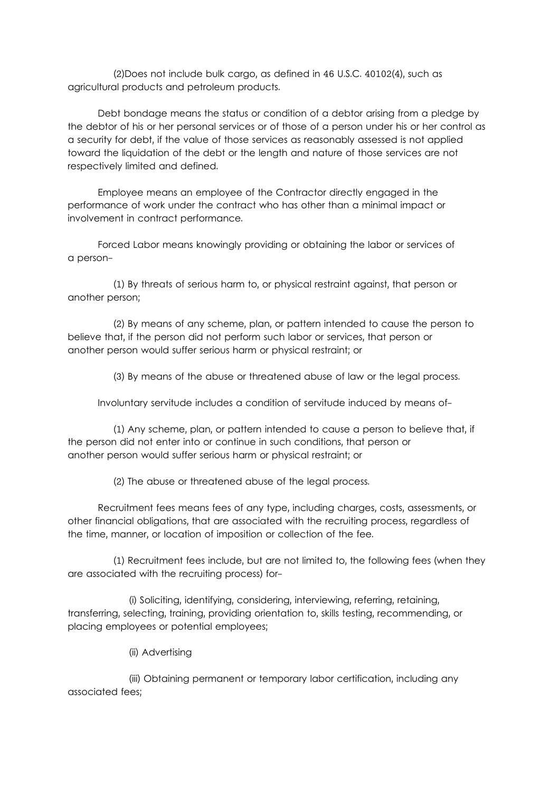(2)Does not include bulk cargo, as defined in [46 U.S.C. 40102\(4\),](http://uscode.house.gov/browse.xhtml;jsessionid=114A3287C7B3359E597506A31FC855B3) such as agricultural products and petroleum products.

 Debt bondage means the status or condition of a debtor arising from a pledge by the debtor of his or her personal services or of those of a person under his or her control as a security for debt, if the value of those services as reasonably assessed is not applied toward the liquidation of the debt or the length and nature of those services are not respectively limited and defined.

 Employee means an employee of the Contractor directly engaged in the performance of work under the contract who has other than a minimal impact or involvement in contract performance.

 Forced Labor means knowingly providing or obtaining the labor or services of a person-

 (1) By threats of serious harm to, or physical restraint against, that person or another person;

 (2) By means of any scheme, plan, or pattern intended to cause the person to believe that, if the person did not perform such labor or services, that person or another person would suffer serious harm or physical restraint; or

(3) By means of the abuse or threatened abuse of law or the legal process.

Involuntary servitude includes a condition of servitude induced by means of-

 (1) Any scheme, plan, or pattern intended to cause a person to believe that, if the person did not enter into or continue in such conditions, that person or another person would suffer serious harm or physical restraint; or

(2) The abuse or threatened abuse of the legal process.

 Recruitment fees means fees of any type, including charges, costs, assessments, or other financial obligations, that are associated with the recruiting process, regardless of the time, manner, or location of imposition or collection of the fee.

 (1) Recruitment fees include, but are not limited to, the following fees (when they are associated with the recruiting process) for-

 (i) Soliciting, identifying, considering, interviewing, referring, retaining, transferring, selecting, training, providing orientation to, skills testing, recommending, or placing employees or potential employees;

(ii) Advertising

 (iii) Obtaining permanent or temporary labor certification, including any associated fees;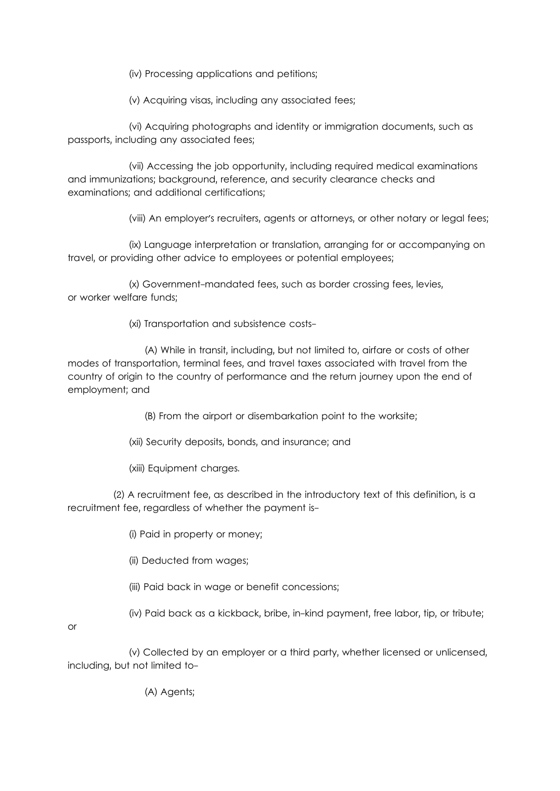(iv) Processing applications and petitions;

(v) Acquiring visas, including any associated fees;

 (vi) Acquiring photographs and identity or immigration documents, such as passports, including any associated fees;

 (vii) Accessing the job opportunity, including required medical examinations and immunizations; background, reference, and security clearance checks and examinations; and additional certifications;

(viii) An employer's recruiters, agents or attorneys, or other notary or legal fees;

 (ix) Language interpretation or translation, arranging for or accompanying on travel, or providing other advice to employees or potential employees;

 (x) Government-mandated fees, such as border crossing fees, levies, or worker welfare funds;

(xi) Transportation and subsistence costs-

 (A) While in transit, including, but not limited to, airfare or costs of other modes of transportation, terminal fees, and travel taxes associated with travel from the country of origin to the country of performance and the return journey upon the end of employment; and

(B) From the airport or disembarkation point to the worksite;

(xii) Security deposits, bonds, and insurance; and

(xiii) Equipment charges.

 (2) A recruitment fee, as described in the introductory text of this definition, is a recruitment fee, regardless of whether the payment is-

(i) Paid in property or money;

(ii) Deducted from wages;

(iii) Paid back in wage or benefit concessions;

(iv) Paid back as a kickback, bribe, in-kind payment, free labor, tip, or tribute;

or

 (v) Collected by an employer or a third party, whether licensed or unlicensed, including, but not limited to-

(A) Agents;